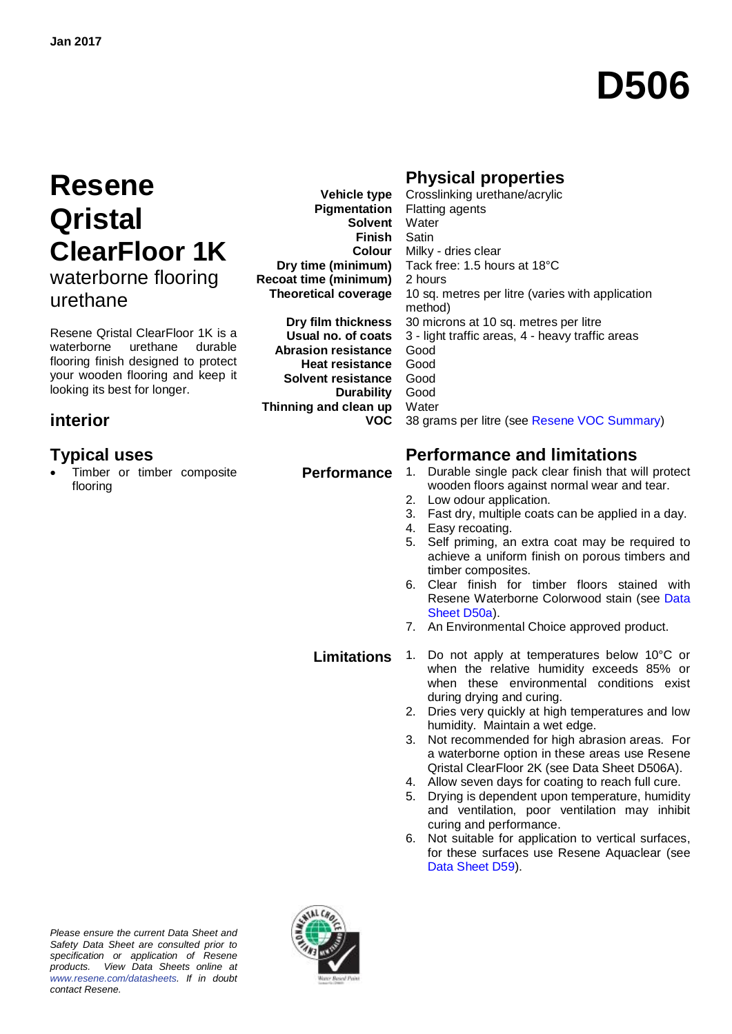# **D506**

## **Resene Qristal ClearFloor 1K** waterborne flooring urethane

Resene Qristal ClearFloor 1K is a waterborne urethane durable flooring finish designed to protect your wooden flooring and keep it looking its best for longer.

### **interior**

 Timber or timber composite flooring

**Vehicle type Pigmentation Solvent** Water **Finish Colour Dry time (minimum) Recoat time (minimum) Theoretical coverage**

**Dry film thickness Usual no. of coats Abrasion resistance Heat resistance Solvent resistance Durability Thinning and clean up VOC**

### **Physical properties**

Crosslinking urethane/acrylic Flatting agents **Satin** Milky - dries clear Tack free: 1.5 hours at 18°C 2 hours 10 sq. metres per litre (varies with application method) 30 microns at 10 sq. metres per litre 3 - light traffic areas, 4 - heavy traffic areas Good Good Good Good **Water** 38 grams per litre (see [Resene VOC Summary\)](http://www.resene.co.nz/archspec/datashts/vocsummary.pdf)

### **Typical uses Performance and limitations**

- **Performance** 1. Durable single pack clear finish that will protect wooden floors against normal wear and tear.
	- 2. Low odour application.
	- 3. Fast dry, multiple coats can be applied in a day.
	- 4. Easy recoating.
	- 5. Self priming, an extra coat may be required to achieve a uniform finish on porous timbers and timber composites.
	- 6. Clear finish for timber floors stained with Resene Waterborne Colorwood stain (see [Data](http://www.resene.co.nz/archspec/datashts/d50a_WB_Colorwood_Woodstain.pdf)  [Sheet D50a\)](http://www.resene.co.nz/archspec/datashts/d50a_WB_Colorwood_Woodstain.pdf).
	- 7. An Environmental Choice approved product.

**Limitations** 1. Do not apply at temperatures below 10°C or when the relative humidity exceeds 85% or when these environmental conditions exist during drying and curing.

- 2. Dries very quickly at high temperatures and low humidity. Maintain a wet edge.
- 3. Not recommended for high abrasion areas. For a waterborne option in these areas use Resene Qristal ClearFloor 2K (see Data Sheet D506A).
- 4. Allow seven days for coating to reach full cure.
- 5. Drying is dependent upon temperature, humidity and ventilation, poor ventilation may inhibit curing and performance.
- 6. Not suitable for application to vertical surfaces, for these surfaces use Resene Aquaclear (see [Data Sheet D59\)](http://www.resene.co.nz/archspec/datashts/d59_Aquaclear_Varnish.pdf).